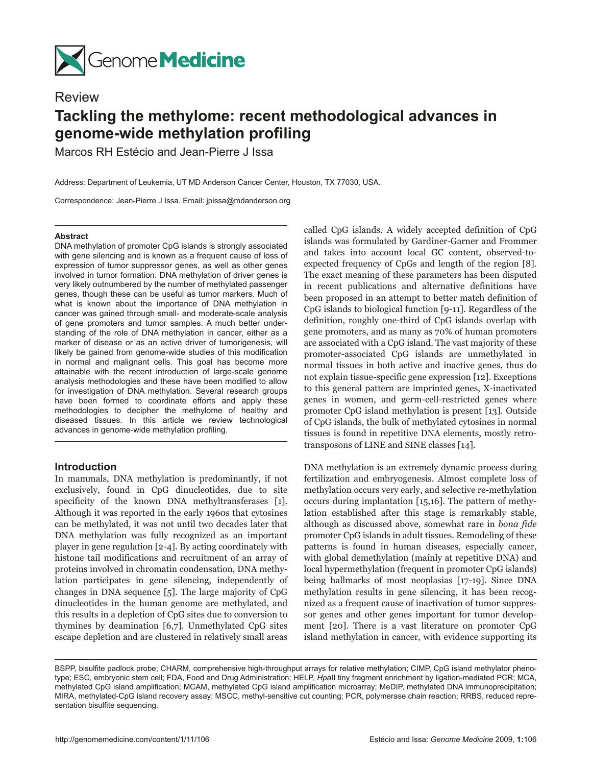

# Review

# **Tackling the methylome: recent methodological advances in genome-wide methylation profiling**

Marcos RH Estécio and Jean-Pierre J Issa

Address: Department of Leukemia, UT MD Anderson Cancer Center, Houston, TX 77030, USA.

Correspondence: Jean-Pierre J Issa. Email: jpissa@mdanderson.org

#### **Abstract**

DNA methylation of promoter CpG islands is strongly associated with gene silencing and is known as a frequent cause of loss of expression of tumor suppressor genes, as well as other genes involved in tumor formation. DNA methylation of driver genes is very likely outnumbered by the number of methylated passenger genes, though these can be useful as tumor markers. Much of what is known about the importance of DNA methylation in cancer was gained through small- and moderate-scale analysis of gene promoters and tumor samples. A much better understanding of the role of DNA methylation in cancer, either as a marker of disease or as an active driver of tumorigenesis, will likely be gained from genome-wide studies of this modification in normal and malignant cells. This goal has become more attainable with the recent introduction of large-scale genome analysis methodologies and these have been modified to allow for investigation of DNA methylation. Several research groups have been formed to coordinate efforts and apply these methodologies to decipher the methylome of healthy and diseased tissues. In this article we review technological advances in genome-wide methylation profiling.

# **Introduction**

In mammals, DNA methylation is predominantly, if not exclusively, found in CpG dinucleotides, due to site specificity of the known DNA methyltransferases [1]. Although it was reported in the early 1960s that cytosines can be methylated, it was not until two decades later that DNA methylation was fully recognized as an important player in gene regulation [2-4]. By acting coordinately with histone tail modifications and recruitment of an array of proteins involved in chromatin condensation, DNA methylation participates in gene silencing, independently of changes in DNA sequence [5]. The large majority of CpG dinucleotides in the human genome are methylated, and this results in a depletion of CpG sites due to conversion to thymines by deamination [6,7]. Unmethylated CpG sites escape depletion and are clustered in relatively small areas

called CpG islands. A widely accepted definition of CpG islands was formulated by Gardiner-Garner and Frommer and takes into account local GC content, observed-toexpected frequency of CpGs and length of the region [8]. The exact meaning of these parameters has been disputed in recent publications and alternative definitions have been proposed in an attempt to better match definition of CpG islands to biological function [9-11]. Regardless of the definition, roughly one-third of CpG islands overlap with gene promoters, and as many as 70% of human promoters are associated with a CpG island. The vast majority of these promoter-associated CpG islands are unmethylated in normal tissues in both active and inactive genes, thus do not explain tissue-specific gene expression [12]. Exceptions to this general pattern are imprinted genes, X-inactivated genes in women, and germ-cell-restricted genes where promoter CpG island methylation is present [13]. Outside of CpG islands, the bulk of methylated cytosines in normal tissues is found in repetitive DNA elements, mostly retrotransposons of LINE and SINE classes [14].

DNA methylation is an extremely dynamic process during fertilization and embryogenesis. Almost complete loss of methylation occurs very early, and selective re-methylation occurs during implantation [15,16]. The pattern of methylation established after this stage is remarkably stable, although as discussed above, somewhat rare in *bona fide* promoter CpG islands in adult tissues. Remodeling of these patterns is found in human diseases, especially cancer, with global demethylation (mainly at repetitive DNA) and local hypermethylation (frequent in promoter CpG islands) being hallmarks of most neoplasias [17-19]. Since DNA methylation results in gene silencing, it has been recognized as a frequent cause of inactivation of tumor suppressor genes and other genes important for tumor development [20]. There is a vast literature on promoter CpG island methylation in cancer, with evidence supporting its

BSPP, bisulfite padlock probe; CHARM, comprehensive high-throughput arrays for relative methylation; CIMP, CpG island methylator phenotype; ESC, embryonic stem cell; FDA, Food and Drug Administration; HELP, *Hpa*II tiny fragment enrichment by ligation-mediated PCR; MCA, methylated CpG island amplification; MCAM, methylated CpG island amplification microarray; MeDIP, methylated DNA immunoprecipitation; MIRA, methylated-CpG island recovery assay; MSCC, methyl-sensitive cut counting; PCR, polymerase chain reaction; RRBS, reduced representation bisulfite sequencing.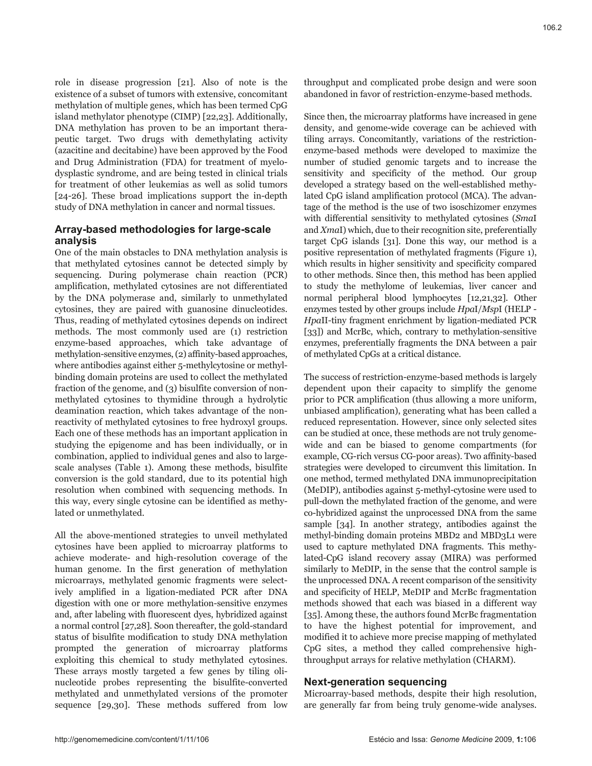role in disease progression [21]. Also of note is the existence of a subset of tumors with extensive, concomitant methylation of multiple genes, which has been termed CpG island methylator phenotype (CIMP) [22,23]. Additionally, DNA methylation has proven to be an important therapeutic target. Two drugs with demethylating activity (azacitine and decitabine) have been approved by the Food and Drug Administration (FDA) for treatment of myelodysplastic syndrome, and are being tested in clinical trials for treatment of other leukemias as well as solid tumors [24-26]. These broad implications support the in-depth study of DNA methylation in cancer and normal tissues.

# **Array-based methodologies for large-scale analysis**

One of the main obstacles to DNA methylation analysis is that methylated cytosines cannot be detected simply by sequencing. During polymerase chain reaction (PCR) amplification, methylated cytosines are not differentiated by the DNA polymerase and, similarly to unmethylated cytosines, they are paired with guanosine dinucleotides. Thus, reading of methylated cytosines depends on indirect methods. The most commonly used are (1) restriction enzyme-based approaches, which take advantage of methylation-sensitive enzymes, (2) affinity-based approaches, where antibodies against either 5-methylcytosine or methylbinding domain proteins are used to collect the methylated fraction of the genome, and (3) bisulfite conversion of nonmethylated cytosines to thymidine through a hydrolytic deamination reaction, which takes advantage of the nonreactivity of methylated cytosines to free hydroxyl groups. Each one of these methods has an important application in studying the epigenome and has been individually, or in combination, applied to individual genes and also to largescale analyses (Table 1). Among these methods, bisulfite conversion is the gold standard, due to its potential high resolution when combined with sequencing methods. In this way, every single cytosine can be identified as methylated or unmethylated.

All the above-mentioned strategies to unveil methylated cytosines have been applied to microarray platforms to achieve moderate- and high-resolution coverage of the human genome. In the first generation of methylation microarrays, methylated genomic fragments were selectively amplified in a ligation-mediated PCR after DNA digestion with one or more methylation-sensitive enzymes and, after labeling with fluorescent dyes, hybridized against a normal control [27,28]. Soon thereafter, the gold-standard status of bisulfite modification to study DNA methylation prompted the generation of microarray platforms exploiting this chemical to study methylated cytosines. These arrays mostly targeted a few genes by tiling olinucleotide probes representing the bisulfite-converted methylated and unmethylated versions of the promoter sequence [29,30]. These methods suffered from low

throughput and complicated probe design and were soon abandoned in favor of restriction-enzyme-based methods.

Since then, the microarray platforms have increased in gene density, and genome-wide coverage can be achieved with tiling arrays. Concomitantly, variations of the restrictionenzyme-based methods were developed to maximize the number of studied genomic targets and to increase the sensitivity and specificity of the method. Our group developed a strategy based on the well-established methylated CpG island amplification protocol (MCA). The advantage of the method is the use of two isoschizomer enzymes with differential sensitivity to methylated cytosines (*Sma*I and *Xma*I) which, due to their recognition site, preferentially target CpG islands [31]. Done this way, our method is a positive representation of methylated fragments (Figure 1), which results in higher sensitivity and specificity compared to other methods. Since then, this method has been applied to study the methylome of leukemias, liver cancer and normal peripheral blood lymphocytes [12,21,32]. Other enzymes tested by other groups include *Hpa*I/*Msp*I (HELP - *Hpa*II-tiny fragment enrichment by ligation-mediated PCR [33]) and McrBc, which, contrary to methylation-sensitive enzymes, preferentially fragments the DNA between a pair of methylated CpGs at a critical distance.

The success of restriction-enzyme-based methods is largely dependent upon their capacity to simplify the genome prior to PCR amplification (thus allowing a more uniform, unbiased amplification), generating what has been called a reduced representation. However, since only selected sites can be studied at once, these methods are not truly genomewide and can be biased to genome compartments (for example, CG-rich versus CG-poor areas). Two affinity-based strategies were developed to circumvent this limitation. In one method, termed methylated DNA immunoprecipitation (MeDIP), antibodies against 5-methyl-cytosine were used to pull-down the methylated fraction of the genome, and were co-hybridized against the unprocessed DNA from the same sample [34]. In another strategy, antibodies against the methyl-binding domain proteins MBD2 and MBD3L1 were used to capture methylated DNA fragments. This methylated-CpG island recovery assay (MIRA) was performed similarly to MeDIP, in the sense that the control sample is the unprocessed DNA. A recent comparison of the sensitivity and specificity of HELP, MeDIP and McrBc fragmentation methods showed that each was biased in a different way [35]. Among these, the authors found McrBc fragmentation to have the highest potential for improvement, and modified it to achieve more precise mapping of methylated CpG sites, a method they called comprehensive highthroughput arrays for relative methylation (CHARM).

#### **Next-generation sequencing**

Microarray-based methods, despite their high resolution, are generally far from being truly genome-wide analyses.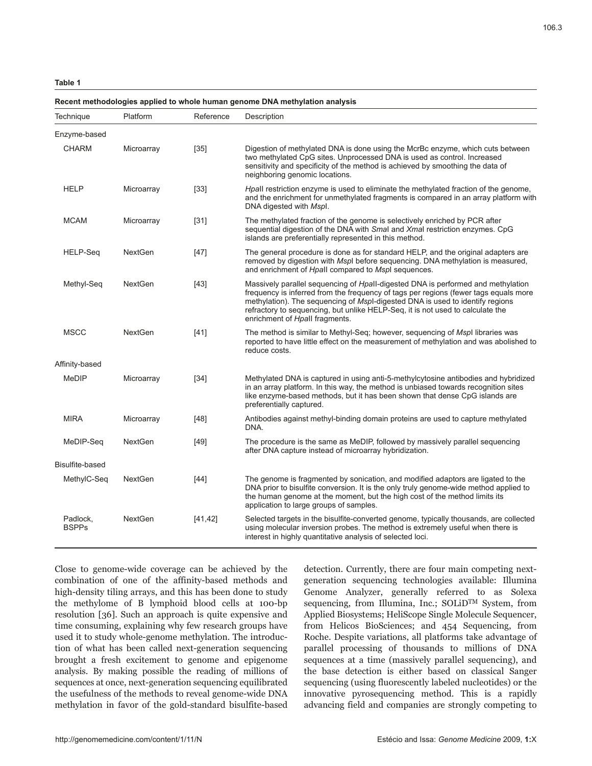#### **Table 1**

#### **Recent methodologies applied to whole human genome DNA methylation analysis**

| Technique                | Platform       | Reference | Description                                                                                                                                                                                                                                                                                                                                                                   |
|--------------------------|----------------|-----------|-------------------------------------------------------------------------------------------------------------------------------------------------------------------------------------------------------------------------------------------------------------------------------------------------------------------------------------------------------------------------------|
| Enzyme-based             |                |           |                                                                                                                                                                                                                                                                                                                                                                               |
| <b>CHARM</b>             | Microarray     | $[35]$    | Digestion of methylated DNA is done using the McrBc enzyme, which cuts between<br>two methylated CpG sites. Unprocessed DNA is used as control. Increased<br>sensitivity and specificity of the method is achieved by smoothing the data of<br>neighboring genomic locations.                                                                                                 |
| <b>HELP</b>              | Microarray     | $[33]$    | Hpall restriction enzyme is used to eliminate the methylated fraction of the genome,<br>and the enrichment for unmethylated fragments is compared in an array platform with<br>DNA digested with Mspl.                                                                                                                                                                        |
| <b>MCAM</b>              | Microarray     | $[31]$    | The methylated fraction of the genome is selectively enriched by PCR after<br>sequential digestion of the DNA with Smal and Xmal restriction enzymes. CpG<br>islands are preferentially represented in this method.                                                                                                                                                           |
| HELP-Seq                 | <b>NextGen</b> | $[47]$    | The general procedure is done as for standard HELP, and the original adapters are<br>removed by digestion with Mspl before sequencing. DNA methylation is measured,<br>and enrichment of Hpall compared to Mspl sequences.                                                                                                                                                    |
| Methyl-Seq               | <b>NextGen</b> | $[43]$    | Massively parallel sequencing of Hpall-digested DNA is performed and methylation<br>frequency is inferred from the frequency of tags per regions (fewer tags equals more<br>methylation). The sequencing of Mspl-digested DNA is used to identify regions<br>refractory to sequencing, but unlike HELP-Seq, it is not used to calculate the<br>enrichment of Hpall fragments. |
| <b>MSCC</b>              | <b>NextGen</b> | $[41]$    | The method is similar to Methyl-Seq; however, sequencing of Mspl libraries was<br>reported to have little effect on the measurement of methylation and was abolished to<br>reduce costs.                                                                                                                                                                                      |
| Affinity-based           |                |           |                                                                                                                                                                                                                                                                                                                                                                               |
| MeDIP                    | Microarray     | $[34]$    | Methylated DNA is captured in using anti-5-methylcytosine antibodies and hybridized<br>in an array platform. In this way, the method is unbiased towards recognition sites<br>like enzyme-based methods, but it has been shown that dense CpG islands are<br>preferentially captured.                                                                                         |
| <b>MIRA</b>              | Microarray     | $[48]$    | Antibodies against methyl-binding domain proteins are used to capture methylated<br>DNA.                                                                                                                                                                                                                                                                                      |
| MeDIP-Seq                | <b>NextGen</b> | $[49]$    | The procedure is the same as MeDIP, followed by massively parallel sequencing<br>after DNA capture instead of microarray hybridization.                                                                                                                                                                                                                                       |
| Bisulfite-based          |                |           |                                                                                                                                                                                                                                                                                                                                                                               |
| MethylC-Seq              | <b>NextGen</b> | [44]      | The genome is fragmented by sonication, and modified adaptors are ligated to the<br>DNA prior to bisulfite conversion. It is the only truly genome-wide method applied to<br>the human genome at the moment, but the high cost of the method limits its<br>application to large groups of samples.                                                                            |
| Padlock,<br><b>BSPPs</b> | <b>NextGen</b> | [41, 42]  | Selected targets in the bisulfite-converted genome, typically thousands, are collected<br>using molecular inversion probes. The method is extremely useful when there is<br>interest in highly quantitative analysis of selected loci.                                                                                                                                        |

Close to genome-wide coverage can be achieved by the combination of one of the affinity-based methods and high-density tiling arrays, and this has been done to study the methylome of B lymphoid blood cells at 100-bp resolution [36]. Such an approach is quite expensive and time consuming, explaining why few research groups have used it to study whole-genome methylation. The introduction of what has been called next-generation sequencing brought a fresh excitement to genome and epigenome analysis. By making possible the reading of millions of sequences at once, next-generation sequencing equilibrated the usefulness of the methods to reveal genome-wide DNA methylation in favor of the gold-standard bisulfite-based

detection. Currently, there are four main competing nextgeneration sequencing technologies available: Illumina Genome Analyzer, generally referred to as Solexa sequencing, from Illumina, Inc.; SOLiDTM System, from Applied Biosystems; HeliScope Single Molecule Sequencer, from Helicos BioSciences; and 454 Sequencing, from Roche. Despite variations, all platforms take advantage of parallel processing of thousands to millions of DNA sequences at a time (massively parallel sequencing), and the base detection is either based on classical Sanger sequencing (using fluorescently labeled nucleotides) or the innovative pyrosequencing method. This is a rapidly advancing field and companies are strongly competing to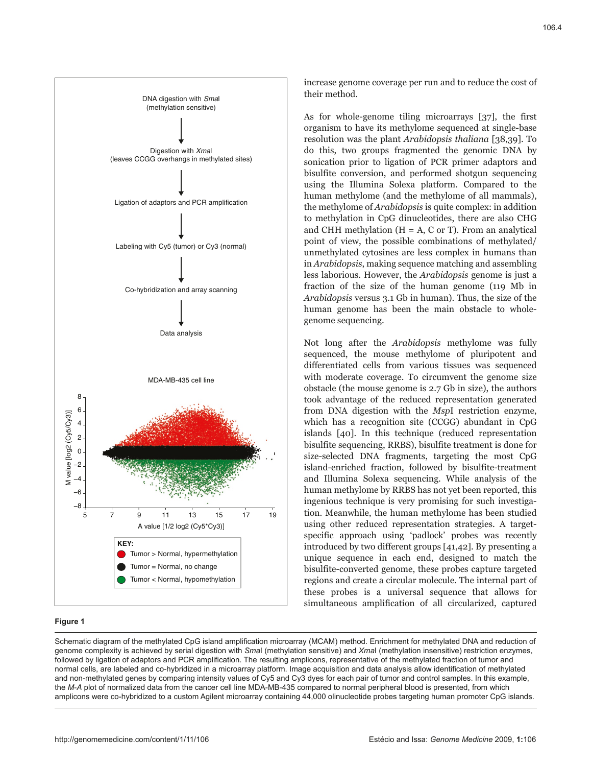

#### **Figure 1**

increase genome coverage per run and to reduce the cost of their method.

As for whole-genome tiling microarrays [37], the first organism to have its methylome sequenced at single-base resolution was the plant *Arabidopsis thaliana* [38,39]. To do this, two groups fragmented the genomic DNA by sonication prior to ligation of PCR primer adaptors and bisulfite conversion, and performed shotgun sequencing using the Illumina Solexa platform. Compared to the human methylome (and the methylome of all mammals), the methylome of *Arabidopsis* is quite complex: in addition to methylation in CpG dinucleotides, there are also CHG and CHH methylation  $(H = A, C \text{ or } T)$ . From an analytical point of view, the possible combinations of methylated/ unmethylated cytosines are less complex in humans than in *Arabidopsis*, making sequence matching and assembling less laborious. However, the *Arabidopsis* genome is just a fraction of the size of the human genome (119 Mb in *Arabidopsis* versus 3.1 Gb in human). Thus, the size of the human genome has been the main obstacle to wholegenome sequencing.

Not long after the *Arabidopsis* methylome was fully sequenced, the mouse methylome of pluripotent and differentiated cells from various tissues was sequenced with moderate coverage. To circumvent the genome size obstacle (the mouse genome is 2.7 Gb in size), the authors took advantage of the reduced representation generated from DNA digestion with the *Msp*I restriction enzyme, which has a recognition site (CCGG) abundant in CpG islands [40]. In this technique (reduced representation bisulfite sequencing, RRBS), bisulfite treatment is done for size-selected DNA fragments, targeting the most CpG island-enriched fraction, followed by bisulfite-treatment and Illumina Solexa sequencing. While analysis of the human methylome by RRBS has not yet been reported, this ingenious technique is very promising for such investigation. Meanwhile, the human methylome has been studied using other reduced representation strategies. A targetspecific approach using 'padlock' probes was recently introduced by two different groups [41,42]. By presenting a unique sequence in each end, designed to match the bisulfite-converted genome, these probes capture targeted regions and create a circular molecule. The internal part of these probes is a universal sequence that allows for simultaneous amplification of all circularized, captured

Schematic diagram of the methylated CpG island amplification microarray (MCAM) method. Enrichment for methylated DNA and reduction of genome complexity is achieved by serial digestion with *Sma*I (methylation sensitive) and *Xma*I (methylation insensitive) restriction enzymes, followed by ligation of adaptors and PCR amplification. The resulting amplicons, representative of the methylated fraction of tumor and normal cells, are labeled and co-hybridized in a microarray platform. Image acquisition and data analysis allow identification of methylated and non-methylated genes by comparing intensity values of Cy5 and Cy3 dyes for each pair of tumor and control samples. In this example, the *M*-*A* plot of normalized data from the cancer cell line MDA-MB-435 compared to normal peripheral blood is presented, from which amplicons were co-hybridized to a custom Agilent microarray containing 44,000 olinucleotide probes targeting human promoter CpG islands.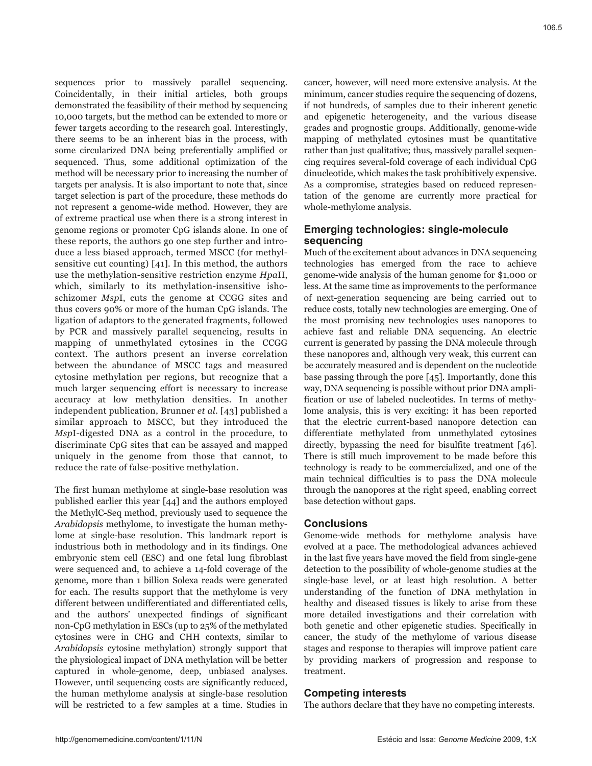106.5

sequences prior to massively parallel sequencing. Coincidentally, in their initial articles, both groups demonstrated the feasibility of their method by sequencing 10,000 targets, but the method can be extended to more or fewer targets according to the research goal. Interestingly, there seems to be an inherent bias in the process, with some circularized DNA being preferentially amplified or sequenced. Thus, some additional optimization of the method will be necessary prior to increasing the number of targets per analysis. It is also important to note that, since target selection is part of the procedure, these methods do not represent a genome-wide method. However, they are of extreme practical use when there is a strong interest in genome regions or promoter CpG islands alone. In one of these reports, the authors go one step further and introduce a less biased approach, termed MSCC (for methylsensitive cut counting) [41]. In this method, the authors use the methylation-sensitive restriction enzyme *Hpa*II, which, similarly to its methylation-insensitive ishoschizomer *Msp*I, cuts the genome at CCGG sites and thus covers 90% or more of the human CpG islands. The ligation of adaptors to the generated fragments, followed by PCR and massively parallel sequencing, results in mapping of unmethylated cytosines in the CCGG context. The authors present an inverse correlation between the abundance of MSCC tags and measured cytosine methylation per regions, but recognize that a much larger sequencing effort is necessary to increase accuracy at low methylation densities. In another independent publication, Brunner *et al.* [43] published a similar approach to MSCC, but they introduced the *Msp*I-digested DNA as a control in the procedure, to discriminate CpG sites that can be assayed and mapped uniquely in the genome from those that cannot, to reduce the rate of false-positive methylation.

The first human methylome at single-base resolution was published earlier this year [44] and the authors employed the MethylC-Seq method, previously used to sequence the *Arabidopsis* methylome, to investigate the human methylome at single-base resolution. This landmark report is industrious both in methodology and in its findings. One embryonic stem cell (ESC) and one fetal lung fibroblast were sequenced and, to achieve a 14-fold coverage of the genome, more than 1 billion Solexa reads were generated for each. The results support that the methylome is very different between undifferentiated and differentiated cells, and the authors' unexpected findings of significant non-CpG methylation in ESCs (up to 25% of the methylated cytosines were in CHG and CHH contexts, similar to *Arabidopsis* cytosine methylation) strongly support that the physiological impact of DNA methylation will be better captured in whole-genome, deep, unbiased analyses. However, until sequencing costs are significantly reduced, the human methylome analysis at single-base resolution will be restricted to a few samples at a time. Studies in

cancer, however, will need more extensive analysis. At the minimum, cancer studies require the sequencing of dozens, if not hundreds, of samples due to their inherent genetic and epigenetic heterogeneity, and the various disease grades and prognostic groups. Additionally, genome-wide mapping of methylated cytosines must be quantitative rather than just qualitative; thus, massively parallel sequencing requires several-fold coverage of each individual CpG dinucleotide, which makes the task prohibitively expensive. As a compromise, strategies based on reduced representation of the genome are currently more practical for whole-methylome analysis.

# **Emerging technologies: single-molecule sequencing**

Much of the excitement about advances in DNA sequencing technologies has emerged from the race to achieve genome-wide analysis of the human genome for \$1,000 or less. At the same time as improvements to the performance of next-generation sequencing are being carried out to reduce costs, totally new technologies are emerging. One of the most promising new technologies uses nanopores to achieve fast and reliable DNA sequencing. An electric current is generated by passing the DNA molecule through these nanopores and, although very weak, this current can be accurately measured and is dependent on the nucleotide base passing through the pore [45]. Importantly, done this way, DNA sequencing is possible without prior DNA amplification or use of labeled nucleotides. In terms of methylome analysis, this is very exciting: it has been reported that the electric current-based nanopore detection can differentiate methylated from unmethylated cytosines directly, bypassing the need for bisulfite treatment [46]. There is still much improvement to be made before this technology is ready to be commercialized, and one of the main technical difficulties is to pass the DNA molecule through the nanopores at the right speed, enabling correct base detection without gaps.

# **Conclusions**

Genome-wide methods for methylome analysis have evolved at a pace. The methodological advances achieved in the last five years have moved the field from single-gene detection to the possibility of whole-genome studies at the single-base level, or at least high resolution. A better understanding of the function of DNA methylation in healthy and diseased tissues is likely to arise from these more detailed investigations and their correlation with both genetic and other epigenetic studies. Specifically in cancer, the study of the methylome of various disease stages and response to therapies will improve patient care by providing markers of progression and response to treatment.

# **Competing interests**

The authors declare that they have no competing interests.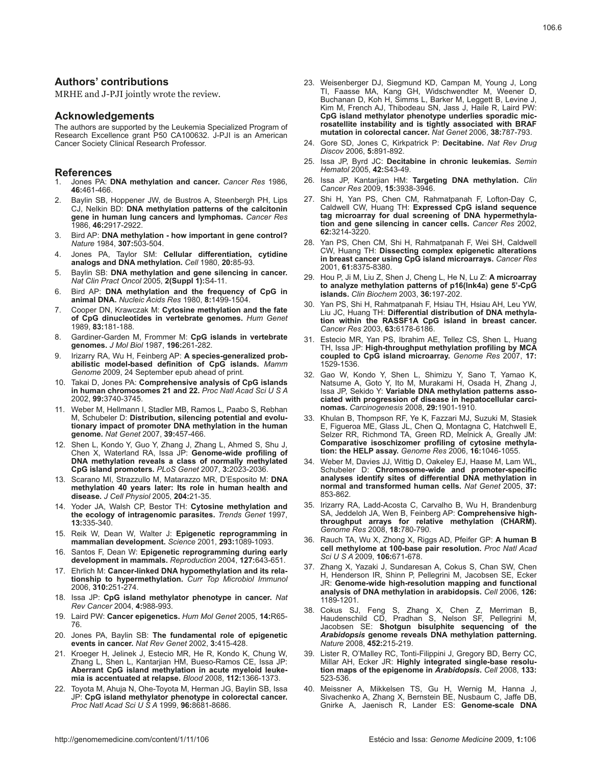# **Authors' contributions**

MRHE and J-PJI jointly wrote the review.

#### **Acknowledgements**

The authors are supported by the Leukemia Specialized Program of Research Excellence grant P50 CA100632. J-PJI is an American Cancer Society Clinical Research Professor.

#### **References**

- 1. Jones PA: **DNA methylation and cancer.** *Cancer Res* 1986, **46:**461-466.
- 2. Baylin SB, Hoppener JW, de Bustros A, Steenbergh PH, Lips CJ, Nelkin BD: **DNA methylation patterns of the calcitonin gene in human lung cancers and lymphomas.** *Cancer Res*  1986, **46:**2917-2922.
- 3. Bird AP: **DNA methylation how important in gene control?** *Nature* 1984, **307:**503-504.
- 4. Jones PA, Taylor SM: **Cellular differentiation, cytidine analogs and DNA methylation.** *Cell* 1980, **20:**85-93.
- 5. Baylin SB: **DNA methylation and gene silencing in cancer.** *Nat Clin Pract Oncol* 2005, **2(Suppl 1):**S4-11.
- 6. Bird AP: **DNA methylation and the frequency of CpG in animal DNA.** *Nucleic Acids Res* 1980, **8:**1499-1504.
- 7. Cooper DN, Krawczak M: **Cytosine methylation and the fate of CpG dinucleotides in vertebrate genomes.** *Hum Genet*  1989, **83:**181-188.
- 8. Gardiner-Garden M, Frommer M: **CpG islands in vertebrate genomes.** *J Mol Biol* 1987, **196:**261-282.
- 9. Irizarry RA, Wu H, Feinberg AP: **A species-generalized probabilistic model-based definition of CpG islands.** *Mamm Genome* 2009, 24 September epub ahead of print.
- 10. Takai D, Jones PA: **Comprehensive analysis of CpG islands in human chromosomes 21 and 22.** *Proc Natl Acad Sci U S A*  2002, **99:**3740-3745.
- 11. Weber M, Hellmann I, Stadler MB, Ramos L, Paabo S, Rebhan M, Schubeler D: **Distribution, silencing potential and evolutionary impact of promoter DNA methylation in the human genome.** *Nat Genet* 2007, **39:**457-466.
- 12. Shen L, Kondo Y, Guo Y, Zhang J, Zhang L, Ahmed S, Shu J, Chen X, Waterland RA, Issa JP: **Genome-wide profiling of DNA methylation reveals a class of normally methylated CpG island promoters.** *PLoS Genet* 2007, **3:**2023-2036.
- 13. Scarano MI, Strazzullo M, Matarazzo MR, D'Esposito M: **DNA methylation 40 years later: Its role in human health and disease.** *J Cell Physiol* 2005, **204:**21-35.
- 14. Yoder JA, Walsh CP, Bestor TH: **Cytosine methylation and the ecology of intragenomic parasites.** *Trends Genet* 1997, **13:**335-340.
- 15. Reik W, Dean W, Walter J: **Epigenetic reprogramming in mammalian development.** *Science* 2001, **293:**1089-1093.
- 16. Santos F, Dean W: **Epigenetic reprogramming during early development in mammals.** *Reproduction* 2004, **127:**643-651.
- 17. Ehrlich M: **Cancer-linked DNA hypomethylation and its relationship to hypermethylation.** *Curr Top Microbiol Immunol*  2006, **310:**251-274.
- 18. Issa JP: **CpG island methylator phenotype in cancer.** *Nat Rev Cancer* 2004, **4:**988-993.
- 19. Laird PW: **Cancer epigenetics.** *Hum Mol Genet* 2005, **14:**R65- 76.
- 20. Jones PA, Baylin SB: **The fundamental role of epigenetic events in cancer.** *Nat Rev Genet* 2002, **3:**415-428.
- 21. Kroeger H, Jelinek J, Estecio MR, He R, Kondo K, Chung W, Zhang L, Shen L, Kantarjian HM, Bueso-Ramos CE, Issa JP: **Aberrant CpG island methylation in acute myeloid leukemia is accentuated at relapse.** *Blood* 2008, **112:**1366-1373.
- 22. Toyota M, Ahuja N, Ohe-Toyota M, Herman JG, Baylin SB, Issa JP: **CpG island methylator phenotype in colorectal cancer.** *Proc Natl Acad Sci U S A* 1999, **96:**8681-8686.
- 23. Weisenberger DJ, Siegmund KD, Campan M, Young J, Long TI, Faasse MA, Kang GH, Widschwendter M, Weener D, Buchanan D, Koh H, Simms L, Barker M, Leggett B, Levine J, Kim M, French AJ, Thibodeau SN, Jass J, Haile R, Laird PW: **CpG island methylator phenotype underlies sporadic microsatellite instability and is tightly associated with BRAF mutation in colorectal cancer.** *Nat Genet* 2006, **38:**787-793.
- 24. Gore SD, Jones C, Kirkpatrick P: **Decitabine.** *Nat Rev Drug Discov* 2006, **5:**891-892.
- 25. Issa JP, Byrd JC: **Decitabine in chronic leukemias.** *Semin Hematol* 2005, **42:**S43-49.
- 26. Issa JP, Kantarjian HM: **Targeting DNA methylation.** *Clin Cancer Res* 2009, **15:**3938-3946.
- 27. Shi H, Yan PS, Chen CM, Rahmatpanah F, Lofton-Day C, Caldwell CW, Huang TH: **Expressed CpG island sequence tag microarray for dual screening of DNA hypermethylation and gene silencing in cancer cells.** *Cancer Res* 2002, **62:**3214-3220.
- 28. Yan PS, Chen CM, Shi H, Rahmatpanah F, Wei SH, Caldwell CW, Huang TH: **Dissecting complex epigenetic alterations in breast cancer using CpG island microarrays.** *Cancer Res*  2001, **61:**8375-8380.
- 29. Hou P, Ji M, Liu Z, Shen J, Cheng L, He N, Lu Z: **A microarray to analyze methylation patterns of p16(Ink4a) gene 5'-CpG islands.** *Clin Biochem* 2003, **36:**197-202.
- 30. Yan PS, Shi H, Rahmatpanah F, Hsiau TH, Hsiau AH, Leu YW, Liu JC, Huang TH: **Differential distribution of DNA methylation within the RASSF1A CpG island in breast cancer.** *Cancer Res* 2003, **63:**6178-6186.
- 31. Estecio MR, Yan PS, Ibrahim AE, Tellez CS, Shen L, Huang TH, Issa JP: **High-throughput methylation profiling by MCA coupled to CpG island microarray.** *Genome Res* 2007, **17:** 1529-1536.
- 32. Gao W, Kondo Y, Shen L, Shimizu Y, Sano T, Yamao K, Natsume A, Goto Y, Ito M, Murakami H, Osada H, Zhang J, Issa JP, Sekido Y: **Variable DNA methylation patterns associated with progression of disease in hepatocellular carcinomas.** *Carcinogenesis* 2008, **29:**1901-1910.
- 33. Khulan B, Thompson RF, Ye K, Fazzari MJ, Suzuki M, Stasiek E, Figueroa ME, Glass JL, Chen Q, Montagna C, Hatchwell E, Selzer RR, Richmond TA, Green RD, Melnick A, Greally JM: **Comparative isoschizomer profiling of cytosine methylation: the HELP assay.** *Genome Res* 2006, **16:**1046-1055.
- Weber M, Davies JJ, Wittig D, Oakeley EJ, Haase M, Lam WL, Schubeler D: **Chromosome-wide and promoter-specific analyses identify sites of differential DNA methylation in normal and transformed human cells.** *Nat Genet* 2005, **37:** 853-862.
- 35. Irizarry RA, Ladd-Acosta C, Carvalho B, Wu H, Brandenburg SA, Jeddeloh JA, Wen B, Feinberg AP: **Comprehensive highthroughput arrays for relative methylation (CHARM).** *Genome Res* 2008, **18:**780-790.
- 36. Rauch TA, Wu X, Zhong X, Riggs AD, Pfeifer GP: **A human B cell methylome at 100-base pair resolution.** *Proc Natl Acad Sci U S A* 2009, **106:**671-678.
- 37. Zhang X, Yazaki J, Sundaresan A, Cokus S, Chan SW, Chen H, Henderson IR, Shinn P, Pellegrini M, Jacobsen SE, Ecker JR: **Genome-wide high-resolution mapping and functional analysis of DNA methylation in arabidopsis.** *Cell* 2006, **126:** 1189-1201.
- 38. Cokus SJ, Feng S, Zhang X, Chen Z, Merriman B, Haudenschild CD, Pradhan S, Nelson SF, Pellegrini M, Jacobsen SE: **Shotgun bisulphite sequencing of the**  *Arabidopsis* **genome reveals DNA methylation patterning.** *Nature* 2008, **452:**215-219.
- 39. Lister R, O'Malley RC, Tonti-Filippini J, Gregory BD, Berry CC, Millar AH, Ecker JR: **Highly integrated single-base resolution maps of the epigenome in** *Arabidopsis***.** *Cell* 2008, **133:** 523-536.
- 40. Meissner A, Mikkelsen TS, Gu H, Wernig M, Hanna J, Sivachenko A, Zhang X, Bernstein BE, Nusbaum C, Jaffe DB, Gnirke A, Jaenisch R, Lander ES: **Genome-scale DNA**